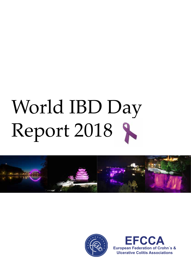# World IBD Day Report 2018





**EFCCA European Federation of Crohn´s & Ulcerative Colitis Associations**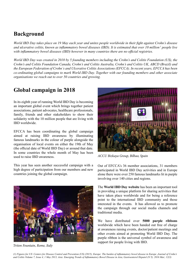# **Background**

*World IBD Day takes place on 19 May each year and unites people worldwide in their fight against Crohn's disease and ulcerative colitis, known as inflammatory bowel diseases (IBD). It is estimated that over 10 million<sup>1</sup> people live with inflammatory bowel diseases (IBD) however in many countries there are no official registries.* 

*World IBD Day was created in 2010 by 5 founding members including the Crohn's and Colitis Foundation (US), the Crohn's and Colitis Foundation Canada, Crohn's and Colitis Australia, Crohn's and Colitis UK, ABCD (Brazil) and the European Federation of Crohn´s and Ulcerative Colitis Associations (EFCCA). In recent years, EFCCA has been co-ordinating global campaigns to mark World IBD Day. Together with our founding members and other associate organisations we reach out to over 50 countries and growing.* 

# **Global campaign in 2018**

In its eighth year of running World IBD Day is becoming an important global event which brings together patient associations, patient advocates, healthcare professionals, family, friends and other stakeholders to show their solidarity with the 10 million people that are living with IBD worldwide.

EFCCA has been coordinating the global campaign aimed at raising IBD awareness by illuminating famous landmarks in the colour of purple alongside the organisation of local events on either the 19th of May (the official date of World IBD Day) or around that date. In some countries the whole month of May has been used to raise IBD awareness.

This year has seen another successful campaign with a high degree of participation from our members and new countries joining the global campaign.



*Triton Fountain, Rome, Italy*



*ACCU Bizkaya Group, Bilbao, Spain*

Out of EFCCA's 36 member associations, 31 members participated in World IBD Day activities and in Europe alone there were over 250 famous landmarks lit in purple involving over 140 cities and regions.

The **World IBD Day website** has been an important tool in providing a unique platform for sharing activities that have taken place worldwide and for being a reference point to the international IBD community and those interested in the events. It has allowed us to promote the campaign through our social media channels and traditional media.

We have distributed over **5000 purple ribbons** worldwide which have been handed out free of charge at awareness raising events, doctor/patient meetings and other events aimed at promoting World IBD Day. The purple ribbon is the universal symbol of awareness and support for people living with IBD.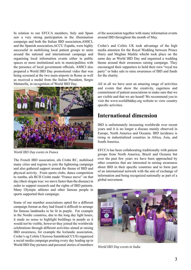In relation to our EFCCA members, Italy and Spain saw a very strong participation in the illumination campaign and both the Italian IBD association,AMICI, and the Spanish association,ACCU España, were highly successful in mobilizing local patient groups to unite around the national and international campaign and organising local information events either in public spaces or more institutional acts in municipalities with the presence of local government officials. AMICI also prepared a World IBD Day promotional video that was being screened at the two main airports in Rome as well as received a medal from the Italian President, Sergio Mattarella, in recognition of World IBD Day.



*World IBD Day events in France*

The French IBD association, afa Crohn RC, mobilised many cities and regions to join the lightening campaign and also gathered support around the theme of IBD and physical activity. From sports clubs, dance competition to zumba, afa RCH Crohn made "France move" on that day (their slogan was: we move faster than the disease) in order to support research and the rights of IBD patients. Many Olympic athletes and other famous people in sports supported their campaign.

Some of our member associations opted for a different campaign format as they had found it difficult to arrange for famous landmarks to be lit in purple. For example in the Nordic countries, due to the long day light hours, it made no sense to highlight buildings in purple as it would not be visible, however they joined the worldwide celebrations through different activities aimed at raising IBD awareness, for example the Icelandic association, Crohn's og Colitis Ulcerosa Samtökin(CCUS) organized a social media campaign posting every day leading up to World IBD Day pictures and personal stories of members

of the association together with many information events around IBD throughout the month of May.

Crohn's and Colitis UK took advantage of the high media attention for the Royal Wedding between Prince Harry and Meghan Markle whicht took place on the same day as World IBD Day and organised a wedding theme around their awareness raising campaign. They encouraged their supporters to hold their own "royal tea party" or bake sale to raise awareness of IBD and funds for the charity.

All in all we have seen an amazing range of activities and events that show the creativity, eagerness and commitment of patient associations to make sure that we are visible and that we are heard! We recommend you to visit the www.worldibdday.org website to view country specific activities.

### **International dimension**

IBD is unfortunately increasing worldwide over recent years and it is no longer a disease mainly observed in Europe, North America and Oceania. IBD incidence is rising in industrialized countries in Africa, Asia, and South America.

EFCCA has been collaborating traditionally with patient groups from North America, Brazil and Oceania but over the past few years we have been approached by other countries that are interested in raising awareness about IBD in their specific countries and to form part of an international network with the aim of exchange of information and being recognized nationally as part of a global movement.



*World IBD Day events in India*